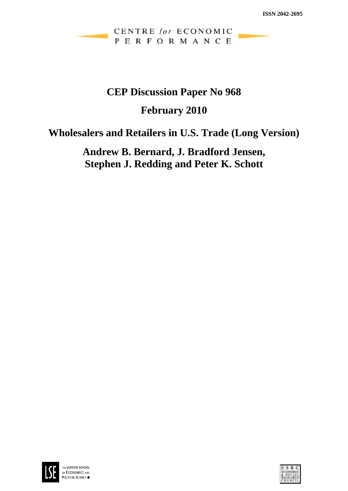## CENTRE for ECONOMIC PERFORMANCE

# **CEP Discussion Paper No 968**

## **February 2010**

# **Wholesalers and Retailers in U.S. Trade (Long Version)**

# **Andrew B. Bernard, J. Bradford Jensen, Stephen J. Redding and Peter K. Schott**



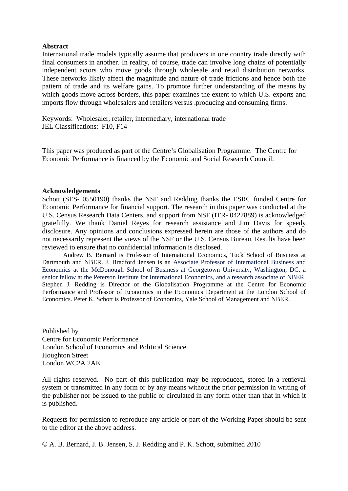### **Abstract**

International trade models typically assume that producers in one country trade directly with final consumers in another. In reality, of course, trade can involve long chains of potentially independent actors who move goods through wholesale and retail distribution networks. These networks likely affect the magnitude and nature of trade frictions and hence both the pattern of trade and its welfare gains. To promote further understanding of the means by which goods move across borders, this paper examines the extent to which U.S. exports and imports flow through wholesalers and retailers versus .producing and consuming firms.

Keywords: Wholesaler, retailer, intermediary, international trade JEL Classifications: F10, F14

This paper was produced as part of the Centre's Globalisation Programme. The Centre for Economic Performance is financed by the Economic and Social Research Council.

#### **Acknowledgements**

Schott (SES- 0550190) thanks the NSF and Redding thanks the ESRC funded Centre for Economic Performance for financial support. The research in this paper was conducted at the U.S. Census Research Data Centers, and support from NSF (ITR- 0427889) is acknowledged gratefully. We thank Daniel Reyes for research assistance and Jim Davis for speedy disclosure. Any opinions and conclusions expressed herein are those of the authors and do not necessarily represent the views of the NSF or the U.S. Census Bureau. Results have been reviewed to ensure that no confidential information is disclosed.

Andrew B. Bernard is Professor of International Economics, Tuck School of Business at Dartmouth and NBER. J. Bradford Jensen is an Associate Professor of International Business and Economics at the McDonough School of Business at Georgetown University, Washington, DC, a senior fellow at the Peterson Institute for International Economics, and a research associate of NBER. Stephen J. Redding is Director of the Globalisation Programme at the Centre for Economic Performance and Professor of Economics in the Economics Department at the London School of Economics. Peter K. Schott is Professor of Economics, Yale School of Management and NBER.

Published by Centre for Economic Performance London School of Economics and Political Science Houghton Street London WC2A 2AE

All rights reserved. No part of this publication may be reproduced, stored in a retrieval system or transmitted in any form or by any means without the prior permission in writing of the publisher nor be issued to the public or circulated in any form other than that in which it is published.

Requests for permission to reproduce any article or part of the Working Paper should be sent to the editor at the above address.

© A. B. Bernard, J. B. Jensen, S. J. Redding and P. K. Schott, submitted 2010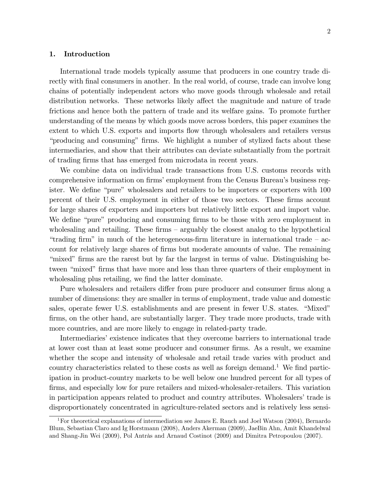#### 1. Introduction

International trade models typically assume that producers in one country trade directly with final consumers in another. In the real world, of course, trade can involve long chains of potentially independent actors who move goods through wholesale and retail distribution networks. These networks likely affect the magnitude and nature of trade frictions and hence both the pattern of trade and its welfare gains. To promote further understanding of the means by which goods move across borders, this paper examines the extent to which U.S. exports and imports flow through wholesalers and retailers versus ìproducing and consumingî Örms. We highlight a number of stylized facts about these intermediaries, and show that their attributes can deviate substantially from the portrait of trading firms that has emerged from microdata in recent years.

We combine data on individual trade transactions from U.S. customs records with comprehensive information on firms' employment from the Census Bureau's business register. We define "pure" wholesalers and retailers to be importers or exporters with 100 percent of their U.S. employment in either of those two sectors. These firms account for large shares of exporters and importers but relatively little export and import value. We define "pure" producing and consuming firms to be those with zero employment in wholesaling and retailing. These firms  $-\frac{1}{2}$  arguably the closest analog to the hypothetical "trading firm" in much of the heterogeneous-firm literature in international trade  $-\text{ ac-}$ count for relatively large shares of firms but moderate amounts of value. The remaining "mixed" firms are the rarest but by far the largest in terms of value. Distinguishing between "mixed" firms that have more and less than three quarters of their employment in wholesaling plus retailing, we find the latter dominate.

Pure wholesalers and retailers differ from pure producer and consumer firms along a number of dimensions: they are smaller in terms of employment, trade value and domestic sales, operate fewer U.S. establishments and are present in fewer U.S. states. "Mixed" firms, on the other hand, are substantially larger. They trade more products, trade with more countries, and are more likely to engage in related-party trade.

Intermediaries' existence indicates that they overcome barriers to international trade at lower cost than at least some producer and consumer Örms. As a result, we examine whether the scope and intensity of wholesale and retail trade varies with product and country characteristics related to these costs as well as foreign demand.<sup>1</sup> We find participation in product-country markets to be well below one hundred percent for all types of firms, and especially low for pure retailers and mixed-wholesaler-retailers. This variation in participation appears related to product and country attributes. Wholesalersítrade is disproportionately concentrated in agriculture-related sectors and is relatively less sensi-

<sup>&</sup>lt;sup>1</sup>For theoretical explanations of intermediation see James E. Rauch and Joel Watson (2004), Bernardo Blum, Sebastian Claro and Ig Horstmann (2008), Anders Akerman (2009), JaeBin Ahn, Amit Khandelwal and Shang-Jin Wei (2009), Pol Antràs and Arnaud Costinot (2009) and Dimitra Petropoulou (2007).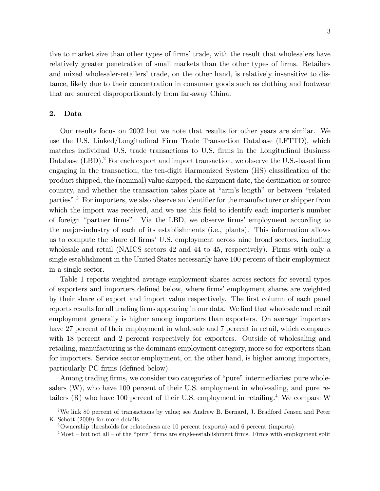tive to market size than other types of firms' trade, with the result that wholesalers have relatively greater penetration of small markets than the other types of firms. Retailers and mixed wholesaler-retailers' trade, on the other hand, is relatively insensitive to distance, likely due to their concentration in consumer goods such as clothing and footwear that are sourced disproportionately from far-away China.

#### 2. Data

Our results focus on 2002 but we note that results for other years are similar. We use the U.S. Linked/Longitudinal Firm Trade Transaction Database (LFTTD), which matches individual U.S. trade transactions to U.S. Örms in the Longitudinal Business Database (LBD).<sup>2</sup> For each export and import transaction, we observe the U.S.-based firm engaging in the transaction, the ten-digit Harmonized System (HS) classification of the product shipped, the (nominal) value shipped, the shipment date, the destination or source country, and whether the transaction takes place at "arm's length" or between "related parties".<sup>3</sup> For importers, we also observe an identifier for the manufacturer or shipper from which the import was received, and we use this field to identify each importer's number of foreign "partner firms". Via the LBD, we observe firms' employment according to the major-industry of each of its establishments (i.e., plants). This information allows us to compute the share of firms U.S. employment across nine broad sectors, including wholesale and retail (NAICS sectors 42 and 44 to 45, respectively). Firms with only a single establishment in the United States necessarily have 100 percent of their employment in a single sector.

Table 1 reports weighted average employment shares across sectors for several types of exporters and importers defined below, where firms' employment shares are weighted by their share of export and import value respectively. The first column of each panel reports results for all trading firms appearing in our data. We find that wholesale and retail employment generally is higher among importers than exporters. On average importers have 27 percent of their employment in wholesale and 7 percent in retail, which compares with 18 percent and 2 percent respectively for exporters. Outside of wholesaling and retailing, manufacturing is the dominant employment category, more so for exporters than for importers. Service sector employment, on the other hand, is higher among importers, particularly PC firms (defined below).

Among trading firms, we consider two categories of "pure" intermediaries: pure wholesalers (W), who have 100 percent of their U.S. employment in wholesaling, and pure retailers  $(R)$  who have 100 percent of their U.S. employment in retailing.<sup>4</sup> We compare W

<sup>&</sup>lt;sup>2</sup>We link 80 percent of transactions by value; see Andrew B. Bernard, J. Bradford Jensen and Peter K. Schott (2009) for more details.

<sup>3</sup>Ownership thresholds for relatedness are 10 percent (exports) and 6 percent (imports).

 $4$ Most – but not all – of the "pure" firms are single-establishment firms. Firms with employment split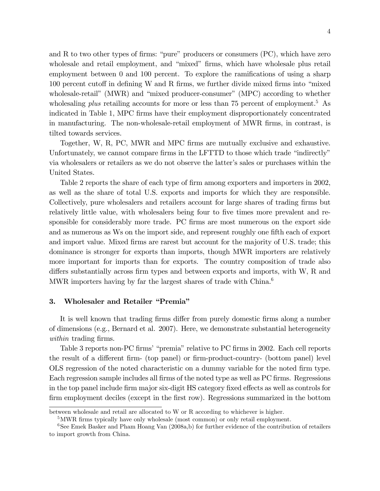and R to two other types of firms: "pure" producers or consumers  $(PC)$ , which have zero wholesale and retail employment, and "mixed" firms, which have wholesale plus retail employment between  $\theta$  and  $100$  percent. To explore the ramifications of using a sharp  $100$  percent cutoff in defining W and R firms, we further divide mixed firms into "mixed wholesale-retail" (MWR) and "mixed producer-consumer" (MPC) according to whether wholesaling plus retailing accounts for more or less than 75 percent of employment.<sup>5</sup> As indicated in Table 1, MPC firms have their employment disproportionately concentrated in manufacturing. The non-wholesale-retail employment of MWR firms, in contrast, is tilted towards services.

Together, W, R, PC, MWR and MPC firms are mutually exclusive and exhaustive. Unfortunately, we cannot compare firms in the LFTTD to those which trade "indirectly" via wholesalers or retailers as we do not observe the latter's sales or purchases within the United States.

Table 2 reports the share of each type of firm among exporters and importers in 2002, as well as the share of total U.S. exports and imports for which they are responsible. Collectively, pure wholesalers and retailers account for large shares of trading firms but relatively little value, with wholesalers being four to five times more prevalent and responsible for considerably more trade. PC firms are most numerous on the export side and as numerous as Ws on the import side, and represent roughly one fifth each of export and import value. Mixed firms are rarest but account for the majority of U.S. trade; this dominance is stronger for exports than imports, though MWR importers are relatively more important for imports than for exports. The country composition of trade also differs substantially across firm types and between exports and imports, with  $W$ ,  $R$  and MWR importers having by far the largest shares of trade with  $China<sup>6</sup>$ 

### 3. Wholesaler and Retailer "Premia"

It is well known that trading firms differ from purely domestic firms along a number of dimensions (e.g., Bernard et al. 2007). Here, we demonstrate substantial heterogeneity within trading firms.

Table 3 reports non-PC firms' "premia" relative to PC firms in 2002. Each cell reports the result of a different firm- (top panel) or firm-product-country- (bottom panel) level OLS regression of the noted characteristic on a dummy variable for the noted firm type. Each regression sample includes all firms of the noted type as well as PC firms. Regressions in the top panel include firm major six-digit HS category fixed effects as well as controls for firm employment deciles (except in the first row). Regressions summarized in the bottom

between wholesale and retail are allocated to W or R according to whichever is higher.

<sup>&</sup>lt;sup>5</sup>MWR firms typically have only wholesale (most common) or only retail employment.

 $6$ See Emek Basker and Pham Hoang Van  $(2008a,b)$  for further evidence of the contribution of retailers to import growth from China.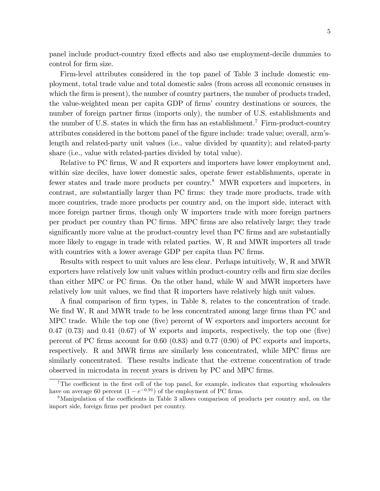panel include product-country fixed effects and also use employment-decile dummies to control for firm size.

Firm-level attributes considered in the top panel of Table 3 include domestic employment, total trade value and total domestic sales (from across all economic censuses in which the firm is present), the number of country partners, the number of products traded, the value-weighted mean per capita GDP of firms' country destinations or sources, the number of foreign partner firms (imports only), the number of U.S. establishments and the number of U.S. states in which the firm has an establishment.<sup>7</sup> Firm-product-country attributes considered in the bottom panel of the figure include: trade value; overall, arm'slength and related-party unit values (i.e., value divided by quantity); and related-party share (i.e., value with related-parties divided by total value).

Relative to PC firms, W and R exporters and importers have lower employment and, within size deciles, have lower domestic sales, operate fewer establishments, operate in fewer states and trade more products per country.<sup>8</sup> MWR exporters and importers, in contrast, are substantially larger than PC firms: they trade more products, trade with more countries, trade more products per country and, on the import side, interact with more foreign partner firms, though only W importers trade with more foreign partners per product per country than PC Örms. MPC Örms are also relatively large; they trade significantly more value at the product-country level than PC firms and are substantially more likely to engage in trade with related parties. W, R and MWR importers all trade with countries with a lower average GDP per capita than PC firms.

Results with respect to unit values are less clear. Perhaps intuitively, W, R and MWR exporters have relatively low unit values within product-country cells and firm size deciles than either MPC or PC Örms. On the other hand, while W and MWR importers have relatively low unit values, we find that R importers have relatively high unit values.

A final comparison of firm types, in Table 8, relates to the concentration of trade. We find W, R and MWR trade to be less concentrated among large firms than PC and MPC trade. While the top one (Öve) percent of W exporters and importers account for  $0.47$   $(0.73)$  and  $0.41$   $(0.67)$  of W exports and imports, respectively, the top one (five) percent of PC firms account for  $0.60$   $(0.83)$  and  $0.77$   $(0.90)$  of PC exports and imports, respectively. R and MWR firms are similarly less concentrated, while MPC firms are similarly concentrated. These results indicate that the extreme concentration of trade observed in microdata in recent years is driven by PC and MPC firms.

<sup>&</sup>lt;sup>7</sup>The coefficient in the first cell of the top panel, for example, indicates that exporting wholesalers have on average 60 percent  $(1 - e^{-0.91})$  of the employment of PC firms.

<sup>&</sup>lt;sup>8</sup>Manipulation of the coefficients in Table 3 allows comparison of products per country and, on the import side, foreign firms per product per country.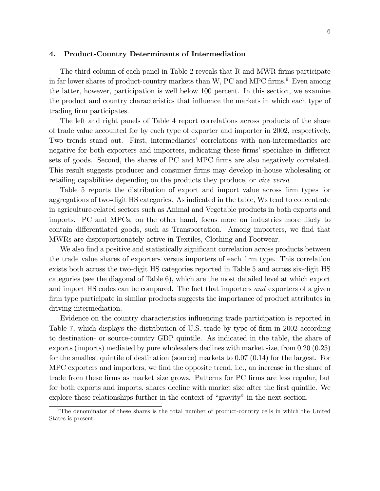#### 4. Product-Country Determinants of Intermediation

The third column of each panel in Table 2 reveals that R and MWR firms participate in far lower shares of product-country markets than W, PC and MPC firms.<sup>9</sup> Even among the latter, however, participation is well below 100 percent. In this section, we examine the product and country characteristics that ináuence the markets in which each type of trading firm participates.

The left and right panels of Table 4 report correlations across products of the share of trade value accounted for by each type of exporter and importer in 2002, respectively. Two trends stand out. First, intermediaries' correlations with non-intermediaries are negative for both exporters and importers, indicating these firms' specialize in different sets of goods. Second, the shares of PC and MPC firms are also negatively correlated. This result suggests producer and consumer firms may develop in-house wholesaling or retailing capabilities depending on the products they produce, or vice versa.

Table 5 reports the distribution of export and import value across firm types for aggregations of two-digit HS categories. As indicated in the table, Ws tend to concentrate in agriculture-related sectors such as Animal and Vegetable products in both exports and imports. PC and MPCs, on the other hand, focus more on industries more likely to contain differentiated goods, such as Transportation. Among importers, we find that MWRs are disproportionately active in Textiles, Clothing and Footwear.

We also find a positive and statistically significant correlation across products between the trade value shares of exporters versus importers of each firm type. This correlation exists both across the two-digit HS categories reported in Table 5 and across six-digit HS categories (see the diagonal of Table 6), which are the most detailed level at which export and import HS codes can be compared. The fact that importers and exporters of a given firm type participate in similar products suggests the importance of product attributes in driving intermediation.

Evidence on the country characteristics ináuencing trade participation is reported in Table 7, which displays the distribution of U.S. trade by type of firm in 2002 according to destination- or source-country GDP quintile. As indicated in the table, the share of exports (imports) mediated by pure wholesalers declines with market size, from 0.20 (0.25) for the smallest quintile of destination (source) markets to 0.07 (0.14) for the largest. For MPC exporters and importers, we find the opposite trend, i.e., an increase in the share of trade from these firms as market size grows. Patterns for PC firms are less regular, but for both exports and imports, shares decline with market size after the first quintile. We explore these relationships further in the context of "gravity" in the next section.

<sup>&</sup>lt;sup>9</sup>The denominator of these shares is the total number of product-country cells in which the United States is present.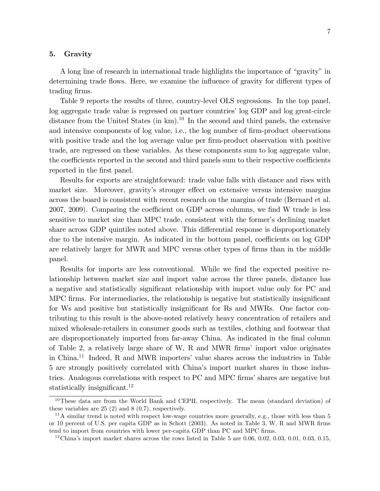#### 5. Gravity

A long line of research in international trade highlights the importance of "gravity" in determining trade flows. Here, we examine the influence of gravity for different types of trading firms.

Table 9 reports the results of three, country-level OLS regressions. In the top panel, log aggregate trade value is regressed on partner countries' log GDP and log great-circle distance from the United States (in  $km$ ).<sup>10</sup> In the second and third panels, the extensive and intensive components of log value, i.e., the log number of firm-product observations with positive trade and the log average value per firm-product observation with positive trade, are regressed on these variables. As these components sum to log aggregate value, the coefficients reported in the second and third panels sum to their respective coefficients reported in the first panel.

Results for exports are straightforward: trade value falls with distance and rises with market size. Moreover, gravity's stronger effect on extensive versus intensive margins across the board is consistent with recent research on the margins of trade (Bernard et al. 2007, 2009). Comparing the coefficient on GDP across columns, we find W trade is less sensitive to market size than MPC trade, consistent with the former's declining market share across GDP quintiles noted above. This differential response is disproportionately due to the intensive margin. As indicated in the bottom panel, coefficients on log GDP are relatively larger for MWR and MPC versus other types of firms than in the middle panel.

Results for imports are less conventional. While we find the expected positive relationship between market size and import value across the three panels, distance has a negative and statistically significant relationship with import value only for PC and MPC firms. For intermediaries, the relationship is negative but statistically insignificant for Ws and positive but statistically insignificant for Rs and MWRs. One factor contributing to this result is the above-noted relatively heavy concentration of retailers and mixed wholesale-retailers in consumer goods such as textiles, clothing and footwear that are disproportionately imported from far-away China. As indicated in the final column of Table 2, a relatively large share of W, R and MWR firms' import value originates in China.<sup>11</sup> Indeed, R and MWR importers' value shares across the industries in Table 5 are strongly positively correlated with Chinaís import market shares in those industries. Analogous correlations with respect to PC and MPC firms' shares are negative but statistically insignificant.<sup>12</sup>

<sup>&</sup>lt;sup>10</sup>These data are from the World Bank and CEPII, respectively. The mean (standard deviation) of these variables are 25 (2) and 8 (0.7), respectively.

 $11A$  similar trend is noted with respect low-wage countries more generally, e.g., those with less than 5 or 10 percent of U.S. per capita GDP as in Schott  $(2003)$ . As noted in Table 3, W, R and MWR firms tend to import from countries with lower per-capita GDP than PC and MPC firms.

<sup>&</sup>lt;sup>12</sup>China's import market shares across the rows listed in Table 5 are 0.06, 0.02, 0.03, 0.01, 0.03, 0.15,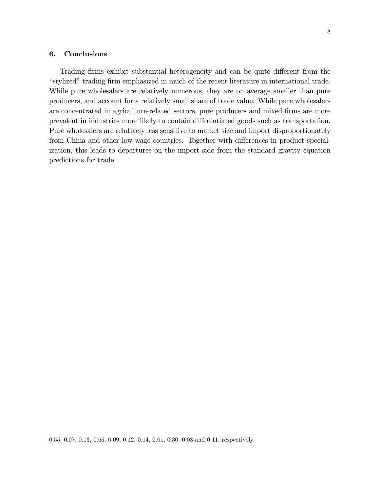### 6. Conclusions

Trading firms exhibit substantial heterogeneity and can be quite different from the "stylized" trading firm emphasized in much of the recent literature in international trade. While pure wholesalers are relatively numerous, they are on average smaller than pure producers, and account for a relatively small share of trade value. While pure wholesalers are concentrated in agriculture-related sectors, pure producers and mixed firms are more prevalent in industries more likely to contain differentiated goods such as transportation. Pure wholesalers are relatively less sensitive to market size and import disproportionately from China and other low-wage countries. Together with differences in product specialization, this leads to departures on the import side from the standard gravity equation predictions for trade.

<sup>0.55, 0.07, 0.13, 0.66, 0.09, 0.12, 0.14, 0.01, 0.30, 0.03</sup> and 0.11, respectively.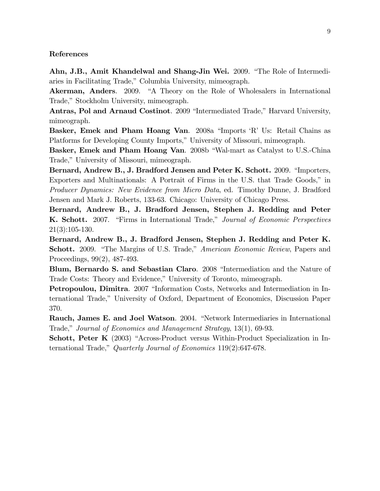#### References

Ahn, J.B., Amit Khandelwal and Shang-Jin Wei. 2009. "The Role of Intermediaries in Facilitating Trade," Columbia University, mimeograph.

Akerman, Anders. 2009. "A Theory on the Role of Wholesalers in International Trade," Stockholm University, mimeograph.

Antras, Pol and Arnaud Costinot. 2009 "Intermediated Trade," Harvard University, mimeograph.

Basker, Emek and Pham Hoang Van. 2008a "Imports 'R' Us: Retail Chains as Platforms for Developing County Imports," University of Missouri, mimeograph.

Basker, Emek and Pham Hoang Van. 2008b "Wal-mart as Catalyst to U.S.-China Trade," University of Missouri, mimeograph.

Bernard, Andrew B., J. Bradford Jensen and Peter K. Schott. 2009. "Importers, Exporters and Multinationals: A Portrait of Firms in the U.S. that Trade Goods," in Producer Dynamics: New Evidence from Micro Data, ed. Timothy Dunne, J. Bradford Jensen and Mark J. Roberts, 133-63. Chicago: University of Chicago Press.

Bernard, Andrew B., J. Bradford Jensen, Stephen J. Redding and Peter K. Schott. 2007. "Firms in International Trade," Journal of Economic Perspectives 21(3):105-130.

Bernard, Andrew B., J. Bradford Jensen, Stephen J. Redding and Peter K. **Schott.** 2009. "The Margins of U.S. Trade," *American Economic Review*, Papers and Proceedings, 99(2), 487-493.

Blum, Bernardo S. and Sebastian Claro. 2008 "Intermediation and the Nature of Trade Costs: Theory and Evidence," University of Toronto, mimeograph.

**Petropoulou, Dimitra**. 2007 "Information Costs, Networks and Intermediation in International Trade,î University of Oxford, Department of Economics, Discussion Paper 370.

Rauch, James E. and Joel Watson. 2004. "Network Intermediaries in International Trade," Journal of Economics and Management Strategy, 13(1), 69-93.

**Schott, Peter K**  $(2003)$  "Across-Product versus Within-Product Specialization in International Trade," Quarterly Journal of Economics  $119(2):647-678$ .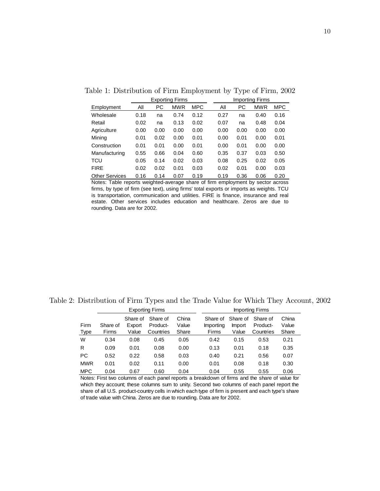|                       |      |      | <b>Exporting Firms</b> |            |      |      | Importing Firms |            |
|-----------------------|------|------|------------------------|------------|------|------|-----------------|------------|
| Employment            | All  | РC   | <b>MWR</b>             | <b>MPC</b> | Αll  | РC   | MWR             | <b>MPC</b> |
| Wholesale             | 0.18 | na   | 0.74                   | 0.12       | 0.27 | na   | 0.40            | 0.16       |
| Retail                | 0.02 | na   | 0.13                   | 0.02       | 0.07 | na   | 0.48            | 0.04       |
| Agriculture           | 0.00 | 0.00 | 0.00                   | 0.00       | 0.00 | 0.00 | 0.00            | 0.00       |
| Mining                | 0.01 | 0.02 | 0.00                   | 0.01       | 0.00 | 0.01 | 0.00            | 0.01       |
| Construction          | 0.01 | 0.01 | 0.00                   | 0.01       | 0.00 | 0.01 | 0.00            | 0.00       |
| Manufacturing         | 0.55 | 0.66 | 0.04                   | 0.60       | 0.35 | 0.37 | 0.03            | 0.50       |
| TCU                   | 0.05 | 0.14 | 0.02                   | 0.03       | 0.08 | 0.25 | 0.02            | 0.05       |
| <b>FIRE</b>           | 0.02 | 0.02 | 0.01                   | 0.03       | 0.02 | 0.01 | 0.00            | 0.03       |
| <b>Other Services</b> | 0.16 | 0.14 | 0.07                   | 0.19       | 0.19 | 0.36 | 0.06            | 0.20       |

Table 1: Distribution of Firm Employment by Type of Firm, 2002

Notes: Table reports weighted-average share of firm employment by sector across firms, by type of firm (see text), using firms' total exports or imports as weights. TCU is transportation, communication and utilities. FIRE is finance, insurance and real estate. Other services includes education and healthcare. Zeros are due to rounding. Data are for 2002.

Table 2: Distribution of Firm Types and the Trade Value for Which They Account, 2002

|              |                   |                             | <b>Exporting Firms</b>            |                         | Importing Firms                |                                    |                                   |                         |  |
|--------------|-------------------|-----------------------------|-----------------------------------|-------------------------|--------------------------------|------------------------------------|-----------------------------------|-------------------------|--|
| Firm<br>Type | Share of<br>Firms | Share of<br>Export<br>Value | Share of<br>Product-<br>Countries | China<br>Value<br>Share | Share of<br>Importing<br>Firms | Share of<br><b>Import</b><br>Value | Share of<br>Product-<br>Countries | China<br>Value<br>Share |  |
| W            | 0.34              | 0.08                        | 0.45                              | 0.05                    | 0.42                           | 0.15                               | 0.53                              | 0.21                    |  |
| R            | 0.09              | 0.01                        | 0.08                              | 0.00                    | 0.13                           | 0.01                               | 0.18                              | 0.35                    |  |
| <b>PC</b>    | 0.52              | 0.22                        | 0.58                              | 0.03                    | 0.40                           | 0.21                               | 0.56                              | 0.07                    |  |
| <b>MWR</b>   | 0.01              | 0.02                        | 0.11                              | 0.00                    | 0.01                           | 0.08                               | 0.18                              | 0.30                    |  |
| <b>MPC</b>   | 0.04              | 0.67                        | 0.60                              | 0.04                    | 0.04                           | 0.55                               | 0.55                              | 0.06                    |  |

Notes: First two columns of each panel reports a breakdown of firms and the share of value for which they account; these columns sum to unity. Second two columns of each panel report the share of all U.S. product-country cells in which each type of firm is present and each type's share of trade value with China. Zeros are due to rounding. Data are for 2002.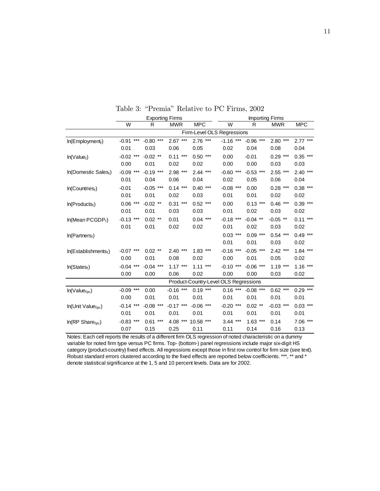|                                  |                  | <b>Exporting Firms</b> |               |                                       | <b>Importing Firms</b> |             |             |               |
|----------------------------------|------------------|------------------------|---------------|---------------------------------------|------------------------|-------------|-------------|---------------|
|                                  | W                | R                      | <b>MWR</b>    | <b>MPC</b>                            | W                      | R           | <b>MWR</b>  | <b>MPC</b>    |
|                                  |                  |                        |               | Firm-Level OLS Regressions            |                        |             |             |               |
| ln(Employment)                   | $***$<br>$-0.91$ | $-0.80$<br>$***$       | 2.67<br>$***$ | $***$<br>2.76                         | $-1.16$ ***            | $-0.96$ *** | $2.80***$   | $2.77***$     |
|                                  | 0.01             | 0.03                   | 0.06          | 0.05                                  | 0.02                   | 0.04        | 0.08        | 0.04          |
| In(Value <sub>f</sub> )          | $-0.02$ ***      | $-0.02$ **             | $***$<br>0.11 | $0.50***$                             | 0.00                   | $-0.01$     | $0.29$ ***  | $0.35$ ***    |
|                                  | 0.00             | 0.01                   | 0.02          | 0.02                                  | 0.00                   | 0.00        | 0.03        | 0.03          |
| In(Domestic Sales,)              | $-0.09$<br>$***$ | $-0.19$ ***            | $2.98$ ***    | $2.44***$                             | $-0.60$ ***            | $-0.53$ *** | $2.55$ ***  | 2.40<br>$***$ |
|                                  | 0.01             | 0.04                   | 0.06          | 0.04                                  | 0.02                   | 0.05        | 0.06        | 0.04          |
| In(Countries <sub>f</sub> )      | $-0.01$          | $-0.05$ ***            | $0.14***$     | $***$<br>0.40                         | $-0.08$ ***            | 0.00        | $0.28$ ***  | $0.38$ ***    |
|                                  | 0.01             | 0.01                   | 0.02          | 0.03                                  | 0.01                   | 0.01        | 0.02        | 0.02          |
| In(Products <sub>f</sub> )       | $***$<br>0.06    | $-0.02$ **             | $0.31***$     | $0.52$ ***                            | 0.00                   | $0.13***$   | $0.46$ ***  | $0.39***$     |
|                                  | 0.01             | 0.01                   | 0.03          | 0.03                                  | 0.01                   | 0.02        | 0.03        | 0.02          |
| In(Mean PCGDP <sub>f</sub> )     | $-0.13$<br>$***$ | $0.02$ **              | 0.01          | $0.04$ ***                            | $-0.18$ ***            | $-0.04$ **  | $-0.05$ **  | $0.11***$     |
|                                  | 0.01             | 0.01                   | 0.02          | 0.02                                  | 0.01                   | 0.02        | 0.03        | 0.02          |
| In(Partners <sub>f</sub> )       |                  |                        |               |                                       | $0.03$ ***             | $0.09***$   | $0.54***$   | $0.49***$     |
|                                  |                  |                        |               |                                       | 0.01                   | 0.01        | 0.03        | 0.02          |
| In(Estabilshments <sub>f</sub> ) | $-0.07$ ***      | $0.02$ **              | $2.40$ ***    | $1.83***$                             | $-0.16$ ***            | $-0.05$ *** | $2.42***$   | $1.84***$     |
|                                  | 0.00             | 0.01                   | 0.08          | 0.02                                  | 0.00                   | 0.01        | 0.05        | 0.02          |
| In(States <sub>f</sub> )         | $-0.04$<br>$***$ | $-0.04$ ***            | $1.17***$     | 1.11<br>$***$                         | $-0.10$ ***            | $-0.06$ *** | $1.19***$   | $1.16***$     |
|                                  | 0.00             | 0.00                   | 0.06          | 0.02                                  | 0.00                   | 0.00        | 0.03        | 0.02          |
|                                  |                  |                        |               | Product-Country-Level OLS Regressions |                        |             |             |               |
| In(Value <sub>fpc</sub> )        | $***$<br>$-0.09$ | 0.00                   | $-0.16$ ***   | 0.19<br>$***$                         | $0.16***$              | $-0.08$ *** | $0.62$ ***  | $***$<br>0.29 |
|                                  | 0.00             | 0.01                   | 0.01          | 0.01                                  | 0.01                   | 0.01        | 0.01        | 0.01          |
| In(Unit Value <sub>fpc</sub> )   | $-0.14$<br>$***$ | $-0.08$ ***            | $-0.17$ ***   | $-0.06$<br>$***$                      | $-0.20$<br>$***$       | $0.02$ **   | $-0.03$ *** | $***$<br>0.03 |
|                                  | 0.01             | 0.01                   | 0.01          | 0.01                                  | 0.01                   | 0.01        | 0.01        | 0.01          |
| In(RP Share <sub>fpc</sub> )     | $***$<br>$-0.83$ | $0.61***$              | $4.08***$     | $10.58$ ***                           | $3.44$ ***             | $1.63***$   | 0.14        | 7.06 ***      |
|                                  | 0.07             | 0.15                   | 0.25          | 0.11                                  | 0.11                   | 0.14        | 0.16        | 0.13          |

Table 3: "Premia" Relative to PC Firms, 2002

Notes: Each cell reports the results of a different firm OLS regression of noted characteristic on a dummy variable for noted firm type versus PC firms. Top- (bottom-) panel regressions include major six-digit HS category (product-country) fixed effects. All regressions except those in first row control for firm size (see text). Robust standard errors clustered according to the fixed effects are reported below coefficients. \*\*\*, \*\* and \* denote statistical significance at the 1, 5 and 10 percent levels. Data are for 2002.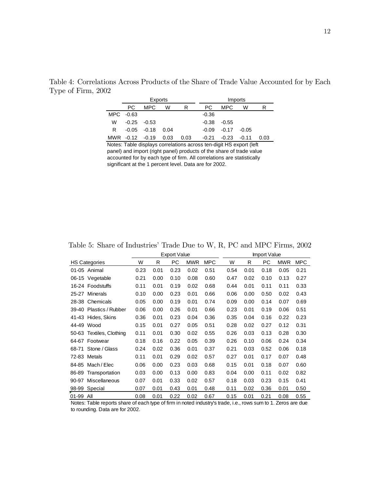|    |           | Exports        |      |      |         |         | Imports |      |
|----|-----------|----------------|------|------|---------|---------|---------|------|
|    | РC        | MPC.           | W    | R    | PC.     | MPC     | W       | R    |
|    | MPC -0.63 |                |      |      | $-0.36$ |         |         |      |
| W  | $-0.25$   | -0.53          |      |      | $-0.38$ | $-0.55$ |         |      |
| R. |           | $-0.05 - 0.18$ | 0.04 |      | $-0.09$ | $-0.17$ | $-0.05$ |      |
|    | MWR -0.12 | -0.19          | 0.03 | 0.03 | $-0.21$ | $-0.23$ | $-0.11$ | 0.03 |

Table 4: Correlations Across Products of the Share of Trade Value Accounted for by Each Type of Firm, 2002

Notes: Table displays correlations across ten-digit HS export (left panel) and import (right panel) products of the share of trade value accounted for by each type of firm. All correlations are statistically significant at the 1 percent level. Data are for 2002.

|       |                          |      |      | <b>Export Value</b> |            |            |      |      | <b>Import Value</b> |            |            |
|-------|--------------------------|------|------|---------------------|------------|------------|------|------|---------------------|------------|------------|
|       | <b>HS Categories</b>     | W    | R    | PС                  | <b>MWR</b> | <b>MPC</b> | W    | R    | PС                  | <b>MWR</b> | <b>MPC</b> |
|       | 01-05 Animal             | 0.23 | 0.01 | 0.23                | 0.02       | 0.51       | 0.54 | 0.01 | 0.18                | 0.05       | 0.21       |
|       | 06-15 Vegetable          | 0.21 | 0.00 | 0.10                | 0.08       | 0.60       | 0.47 | 0.02 | 0.10                | 0.13       | 0.27       |
|       | 16-24 Foodstuffs         | 0.11 | 0.01 | 0.19                | 0.02       | 0.68       | 0.44 | 0.01 | 0.11                | 0.11       | 0.33       |
|       | 25-27 Minerals           | 0.10 | 0.00 | 0.23                | 0.01       | 0.66       | 0.06 | 0.00 | 0.50                | 0.02       | 0.43       |
|       | 28-38 Chemicals          | 0.05 | 0.00 | 0.19                | 0.01       | 0.74       | 0.09 | 0.00 | 0.14                | 0.07       | 0.69       |
| 39-40 | Plastics / Rubber        | 0.06 | 0.00 | 0.26                | 0.01       | 0.66       | 0.23 | 0.01 | 0.19                | 0.06       | 0.51       |
|       | 41-43 Hides, Skins       | 0.36 | 0.01 | 0.23                | 0.04       | 0.36       | 0.35 | 0.04 | 0.16                | 0.22       | 0.23       |
|       | 44-49 Wood               | 0.15 | 0.01 | 0.27                | 0.05       | 0.51       | 0.28 | 0.02 | 0.27                | 0.12       | 0.31       |
|       | 50-63 Textiles, Clothing | 0.11 | 0.01 | 0.30                | 0.02       | 0.55       | 0.26 | 0.03 | 0.13                | 0.28       | 0.30       |
| 64-67 | Footwear                 | 0.18 | 0.16 | 0.22                | 0.05       | 0.39       | 0.26 | 0.10 | 0.06                | 0.24       | 0.34       |
| 68-71 | Stone / Glass            | 0.24 | 0.02 | 0.36                | 0.01       | 0.37       | 0.21 | 0.03 | 0.52                | 0.06       | 0.18       |
| 72-83 | Metals                   | 0.11 | 0.01 | 0.29                | 0.02       | 0.57       | 0.27 | 0.01 | 0.17                | 0.07       | 0.48       |
| 84-85 | Mach / Elec              | 0.06 | 0.00 | 0.23                | 0.03       | 0.68       | 0.15 | 0.01 | 0.18                | 0.07       | 0.60       |
| 86-89 | Transportation           | 0.03 | 0.00 | 0.13                | 0.00       | 0.83       | 0.04 | 0.00 | 0.11                | 0.02       | 0.82       |
| 90-97 | Miscellaneous            | 0.07 | 0.01 | 0.33                | 0.02       | 0.57       | 0.18 | 0.03 | 0.23                | 0.15       | 0.41       |
| 98-99 | Special                  | 0.07 | 0.01 | 0.43                | 0.01       | 0.48       | 0.11 | 0.02 | 0.36                | 0.01       | 0.50       |
| 01-99 | All                      | 0.08 | 0.01 | 0.22                | 0.02       | 0.67       | 0.15 | 0.01 | 0.21                | 0.08       | 0.55       |

Table 5: Share of Industries' Trade Due to W, R, PC and MPC Firms, 2002

Notes: Table reports share of each type of firm in noted industry's trade, i.e., rows sum to 1. Zeros are due to rounding. Data are for 2002.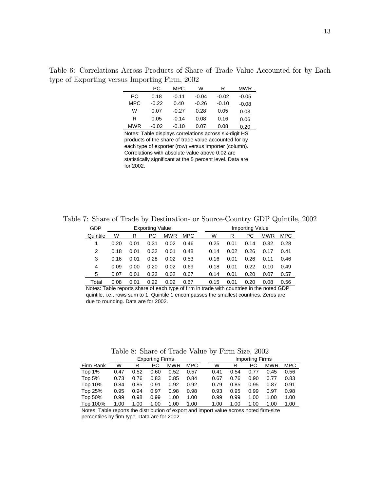Table 6: Correlations Across Products of Share of Trade Value Accounted for by Each type of Exporting versus Importing Firm, 2002

|            | РC      | MPC     | W       | R       | MWR     |
|------------|---------|---------|---------|---------|---------|
| РC         | 0.18    | $-0.11$ | $-0.04$ | $-0.02$ | $-0.05$ |
| <b>MPC</b> | $-0.22$ | 0.40    | $-0.26$ | $-0.10$ | $-0.08$ |
| w          | 0.07    | $-0.27$ | 0.28    | 0.05    | 0.03    |
| R          | 0.05    | $-0.14$ | 0.08    | 0.16    | 0.06    |
| MWR        | $-0.02$ | $-0.10$ | 0.07    | 0.08    | 0.20    |

Notes: Table displays correlations across six-digit HS products of the share of trade value accounted for by each type of exporter (row) versus importer (column). Correlations with absolute value above 0.02 are statistically significant at the 5 percent level. Data are for 2002.

Table 7: Share of Trade by Destination- or Source-Country GDP Quintile, 2002

| GDP      |      |      | <b>Exporting Value</b> |            |            |      |      | Importing Value |            |            |
|----------|------|------|------------------------|------------|------------|------|------|-----------------|------------|------------|
| Quintile | W    | R    | PC                     | <b>MWR</b> | <b>MPC</b> | W    | R    | РC              | <b>MWR</b> | <b>MPC</b> |
|          | 0.20 | 0.01 | 0.31                   | 0.02       | 0.46       | 0.25 | 0.01 | 0.14            | 0.32       | 0.28       |
| 2        | 0.18 | 0.01 | 0.32                   | 0.01       | 0.48       | 0.14 | 0.02 | 0.26            | 0.17       | 0.41       |
| 3        | 0.16 | 0.01 | 0.28                   | 0.02       | 0.53       | 0.16 | 0.01 | 0.26            | 0.11       | 0.46       |
| 4        | 0.09 | 0.00 | 0.20                   | 0.02       | 0.69       | 0.18 | 0.01 | 0.22            | 0.10       | 0.49       |
| 5        | 0.07 | 0.01 | 0.22                   | 0.02       | 0.67       | 0.14 | 0.01 | 0.20            | 0.07       | 0.57       |
| Total    | 0.08 | 0.01 | 0.22                   | 0.02       | 0.67       | 0.15 | 0.01 | 0.20            | 0.08       | 0.56       |

Notes: Table reports share of each type of firm in trade with countries in the noted GDP quintile, i.e., rows sum to 1. Quintile 1 encompasses the smallest countries. Zeros are due to rounding. Data are for 2002.

Table 8: Share of Trade Value by Firm Size, 2002

|           |      |      | <b>Exporting Firms</b> |            |            |      |      | Importing Firms |            |            |
|-----------|------|------|------------------------|------------|------------|------|------|-----------------|------------|------------|
| Firm Rank | W    | R    | РC                     | <b>MWR</b> | <b>MPC</b> | W    | R    | РC              | <b>MWR</b> | <b>MPC</b> |
| Top 1%    | 0.47 | 0.52 | 0.60                   | 0.52       | 0.57       | 0.41 | 0.54 | 0.77            | 0.45       | 0.56       |
| Top 5%    | 0.73 | 0.76 | 0.83                   | 0.85       | 0.84       | 0.67 | 0.76 | 0.90            | 0.77       | 0.83       |
| Top 10%   | 0.84 | 0.85 | 0.91                   | 0.92       | 0.92       | 0.79 | 0.85 | 0.95            | 0.87       | 0.91       |
| Top 25%   | 0.95 | 0.94 | 0.97                   | 0.98       | 0.98       | 0.93 | 0.95 | 0.99            | 0.97       | 0.98       |
| Top 50%   | 0.99 | 0.98 | 0.99                   | 1.00       | 1.00       | 0.99 | 0.99 | 1.00            | 1.00       | 1.00       |
| Top 100%  | 1.00 | 1.00 | 1.00                   | 1.00       | 1.00       | 1.00 | 1.00 | 1.00            | 1.00       | 1.00       |

Notes: Table reports the distribution of export and import value across noted firm-size percentiles by firm type. Data are for 2002.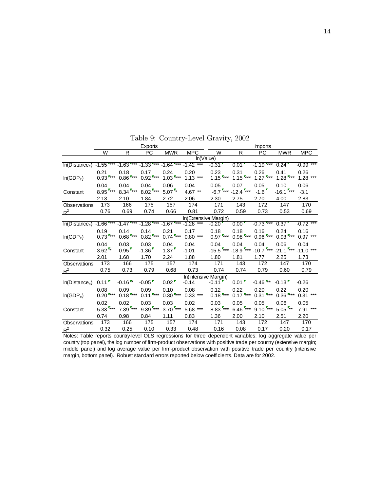|                                                                                                                                                        |                        |                       | Exports                                         |                        |                      | <b>Imports</b>                 |                                |                                                                                                                        |                                |                    |
|--------------------------------------------------------------------------------------------------------------------------------------------------------|------------------------|-----------------------|-------------------------------------------------|------------------------|----------------------|--------------------------------|--------------------------------|------------------------------------------------------------------------------------------------------------------------|--------------------------------|--------------------|
|                                                                                                                                                        | W                      | R                     | <b>PC</b>                                       | <b>MWR</b>             | <b>MPC</b>           | W                              | R                              | PC                                                                                                                     | <b>MWR</b>                     | <b>MPC</b>         |
|                                                                                                                                                        |                        |                       |                                                 |                        | In(Value)            |                                |                                |                                                                                                                        |                                |                    |
| In(Distance <sub>c</sub> )                                                                                                                             |                        |                       | $-1.55$ *** $-1.63$ *** $-1.33$ *** $-1.64$ *** |                        | $-1.42$ ***          | $-0.31$                        | $0.01$ <sup>r</sup>            | $-1.19$ ***                                                                                                            | 0.24                           | $-0.99***$         |
| In(GDP <sub>c</sub> )                                                                                                                                  | 0.21<br>$0.93$ ***     | 0.18<br>$0.86$ ***    | 0.17<br>$0.92$ ***                              | 0.24<br>$1.03$ ***     | 0.20<br>$1.13***$    | 0.23<br>$1.15$ <sup>7***</sup> | 0.31<br>$1.15$ <sup>7***</sup> | 0.26<br>$1.27$ ***                                                                                                     | 0.41<br>$1.28$ <sup>7***</sup> | 0.26<br>$1.28$ *** |
|                                                                                                                                                        | 0.04                   | 0.04                  | 0.04                                            | 0.06                   | 0.04                 | 0.05                           | 0.07                           | 0.05                                                                                                                   | 0.10                           | 0.06               |
| Constant                                                                                                                                               | $8.95$ <sup>7***</sup> |                       | $8.34$ *** $8.02$ *** $5.07$ *                  |                        | 4.67 **              |                                | $-6.7$ *** $-12.4$ ***         | $-1.6$                                                                                                                 | $-16.1$ ***                    | $-3.1$             |
|                                                                                                                                                        | 2.13                   | 2.10                  | 1.84                                            | 2.72                   | 2.06                 | 2.30                           | 2.75                           | 2.70                                                                                                                   | 4.00                           | 2.83               |
| Observations                                                                                                                                           | 173                    | 166                   | 175                                             | 157                    | 174                  | 171                            | 143                            | 172                                                                                                                    | 147                            | 170                |
| $\mathbb{R}^2$                                                                                                                                         | 0.76                   | 0.69                  | 0.74                                            | 0.66                   | 0.81                 | 0.72                           | 0.59                           | 0.73                                                                                                                   | 0.53                           | 0.69               |
|                                                                                                                                                        |                        |                       |                                                 |                        |                      | In(Extensive Margin)           |                                |                                                                                                                        |                                |                    |
| $\frac{1}{2}$ In(Distance <sub>c</sub> ) -1.66 <sup> F***</sup> -1.47 <sup>F***</sup> -1.28 <sup>F***</sup> -1.67 <sup>F***</sup> -1.28 <sup>***</sup> |                        |                       |                                                 |                        |                      | $-0.20$                        | $0.00^{\circ}$                 | $-0.73$ ***                                                                                                            | $0.37$ <sup>*</sup>            | $-0.72$ ***        |
| In(GDP <sub>c</sub> )                                                                                                                                  | 0.19<br>$0.73$ ***     | 0.14<br>$0.68$ ***    | 0.14<br>$0.82$ ***                              | 0.21<br>$0.74$ ***     | 0.17<br>$0.80***$    | 0.18<br>$0.97$ <sup>***</sup>  | 0.18<br>$0.98$ ***             | 0.16<br>$0.96$ <sup>***</sup>                                                                                          | 0.24<br>$0.93$ <sup>***</sup>  | 0.16<br>$0.97***$  |
|                                                                                                                                                        | 0.04                   | 0.03                  | 0.03                                            | 0.04                   | 0.04                 | 0.04                           | 0.04                           | 0.04                                                                                                                   | 0.06                           | 0.04               |
| Constant                                                                                                                                               | $3.62$ *               | 0.95                  | $-1.36$                                         | 1.37                   | $-1.01$              |                                |                                | $-15.5$ <sup>F***</sup> $-18.9$ <sup>F***</sup> $-10.7$ <sup>F***</sup> $-21.1$ <sup>F***</sup> $-11.0$ <sup>***</sup> |                                |                    |
|                                                                                                                                                        | 2.01                   | 1.68                  | 1.70                                            | 2.24                   | 1.88                 | 1.80                           | 1.81                           | 1.77                                                                                                                   | 2.25                           | 1.73               |
| Observations                                                                                                                                           | 173                    | 166                   | 175                                             | 157                    | 174                  | 171                            | 143                            | 172                                                                                                                    | 147                            | 170                |
| $R^2$                                                                                                                                                  | 0.75                   | 0.73                  | 0.79                                            | 0.68                   | 0.73                 | 0.74                           | 0.74                           | 0.79                                                                                                                   | 0.60                           | 0.79               |
|                                                                                                                                                        |                        |                       |                                                 |                        | In(Intensive Margin) |                                |                                |                                                                                                                        |                                |                    |
| In(Distance <sub>c</sub> )                                                                                                                             | $0.11$ <sup>r</sup>    | $-0.16$ $*$           | $-0.05$                                         | $0.02$ <sup>*</sup>    | $-0.14$              | $-0.11$ <sup>r</sup>           | 0.01                           | $-0.46$ **                                                                                                             | $-0.13$ <sup>*</sup>           | $-0.26$            |
| In(GDP <sub>c</sub> )                                                                                                                                  | 0.08<br>$0.20$ ***     | 0.09<br>$0.18$ ***    | 0.09<br>$0.11$ ***                              | 0.10<br>$0.30$ ***     | 0.08<br>$0.33$ ***   | 0.12<br>$0.18$ ***             | 0.22<br>$0.17$ ***             | 0.20<br>$0.31$ ***                                                                                                     | 0.22<br>$0.36$ ***             | 0.20<br>$0.31***$  |
|                                                                                                                                                        | 0.02                   | 0.02                  | 0.03                                            | 0.03                   | 0.02                 | 0.03                           | 0.05                           | 0.05                                                                                                                   | 0.06                           | 0.05               |
| Constant                                                                                                                                               | $5.33$ ***             | $7.39$ <sup>***</sup> | $9.39$ <sup>7***</sup>                          | $3.70$ <sup>7***</sup> | $5.68$ ***           | $8.83$ <sup>7***</sup>         | $6.46$ ***                     | $9.10$ <sup>7***</sup>                                                                                                 | $5.05$ <sup>**</sup>           | $7.91***$          |
|                                                                                                                                                        | 0.74                   | 0.98                  | 0.84                                            | 1.11                   | 0.83                 | 1.36                           | 2.00                           | 2.10                                                                                                                   | 2.51                           | 2.20               |
| Observations                                                                                                                                           | 173                    | 166                   | 175                                             | 157                    | 174                  | 171                            | 143                            | 172                                                                                                                    | 147                            | 170                |
| $R^2$                                                                                                                                                  | 0.32                   | 0.25                  | 0.10                                            | 0.33                   | 0.48                 | 0.16                           | 0.08                           | 0.17                                                                                                                   | 0.20                           | 0.17               |

Table 9: Country-Level Gravity, 2002

Notes: Table reports country-level OLS regressions for three dependent variables: log aggregate value per country (top panel), the log number of firm-product observations with positive trade per country (extensive margin; middle panel) and log average value per firm-product observation with positive trade per country (intensive margin, bottom panel). Robust standard errors reported below coefficients. Data are for 2002.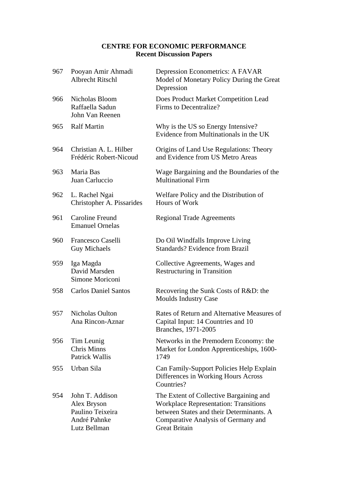### **CENTRE FOR ECONOMIC PERFORMANCE Recent Discussion Papers**

| 967 | Pooyan Amir Ahmadi<br><b>Albrecht Ritschl</b>                                      | Depression Econometrics: A FAVAR<br>Model of Monetary Policy During the Great<br>Depression                                                                                                        |
|-----|------------------------------------------------------------------------------------|----------------------------------------------------------------------------------------------------------------------------------------------------------------------------------------------------|
| 966 | Nicholas Bloom<br>Raffaella Sadun<br>John Van Reenen                               | Does Product Market Competition Lead<br>Firms to Decentralize?                                                                                                                                     |
| 965 | <b>Ralf Martin</b>                                                                 | Why is the US so Energy Intensive?<br>Evidence from Multinationals in the UK                                                                                                                       |
| 964 | Christian A. L. Hilber<br>Frédéric Robert-Nicoud                                   | Origins of Land Use Regulations: Theory<br>and Evidence from US Metro Areas                                                                                                                        |
| 963 | Maria Bas<br>Juan Carluccio                                                        | Wage Bargaining and the Boundaries of the<br><b>Multinational Firm</b>                                                                                                                             |
| 962 | L. Rachel Ngai<br>Christopher A. Pissarides                                        | Welfare Policy and the Distribution of<br>Hours of Work                                                                                                                                            |
| 961 | Caroline Freund<br><b>Emanuel Ornelas</b>                                          | <b>Regional Trade Agreements</b>                                                                                                                                                                   |
| 960 | Francesco Caselli<br><b>Guy Michaels</b>                                           | Do Oil Windfalls Improve Living<br><b>Standards? Evidence from Brazil</b>                                                                                                                          |
| 959 | Iga Magda<br>David Marsden<br>Simone Moriconi                                      | Collective Agreements, Wages and<br><b>Restructuring in Transition</b>                                                                                                                             |
| 958 | <b>Carlos Daniel Santos</b>                                                        | Recovering the Sunk Costs of R&D: the<br><b>Moulds Industry Case</b>                                                                                                                               |
| 957 | <b>Nicholas Oulton</b><br>Ana Rincon-Aznar                                         | Rates of Return and Alternative Measures of<br>Capital Input: 14 Countries and 10<br>Branches, 1971-2005                                                                                           |
| 956 | Tim Leunig<br><b>Chris Minns</b><br><b>Patrick Wallis</b>                          | Networks in the Premodern Economy: the<br>Market for London Apprenticeships, 1600-<br>1749                                                                                                         |
| 955 | Urban Sila                                                                         | Can Family-Support Policies Help Explain<br>Differences in Working Hours Across<br>Countries?                                                                                                      |
| 954 | John T. Addison<br>Alex Bryson<br>Paulino Teixeira<br>André Pahnke<br>Lutz Bellman | The Extent of Collective Bargaining and<br><b>Workplace Representation: Transitions</b><br>between States and their Determinants. A<br>Comparative Analysis of Germany and<br><b>Great Britain</b> |